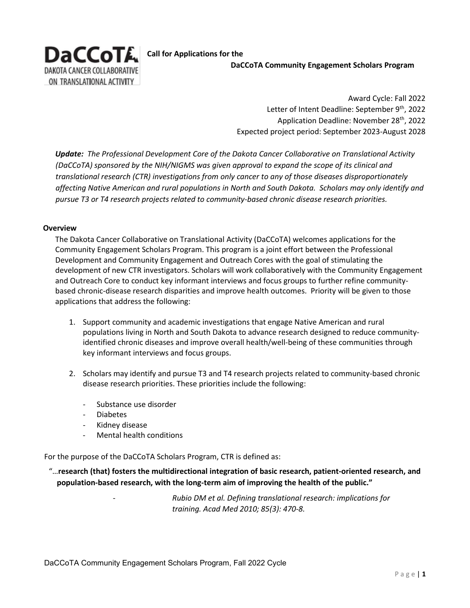

**Call for Applications for the DaCCoTA Community Engagement Scholars Program** 

> Award Cycle: Fall 2022 Letter of Intent Deadline: September 9<sup>th</sup>, 2022 Application Deadline: November 28<sup>th</sup>, 2022 Expected project period: September 2023-August 2028

*Update: The Professional Development Core of the Dakota Cancer Collaborative on Translational Activity (DaCCoTA) sponsored by the NIH/NIGMS was given approval to expand the scope of its clinical and translational research (CTR) investigations from only cancer to any of those diseases disproportionately affecting Native American and rural populations in North and South Dakota. Scholars may only identify and pursue T3 or T4 research projects related to community-based chronic disease research priorities.*

#### **Overview**

The Dakota Cancer Collaborative on Translational Activity (DaCCoTA) welcomes applications for the Community Engagement Scholars Program. This program is a joint effort between the Professional Development and Community Engagement and Outreach Cores with the goal of stimulating the development of new CTR investigators. Scholars will work collaboratively with the Community Engagement and Outreach Core to conduct key informant interviews and focus groups to further refine communitybased chronic-disease research disparities and improve health outcomes. Priority will be given to those applications that address the following:

- 1. Support community and academic investigations that engage Native American and rural populations living in North and South Dakota to advance research designed to reduce communityidentified chronic diseases and improve overall health/well-being of these communities through key informant interviews and focus groups.
- 2. Scholars may identify and pursue T3 and T4 research projects related to community-based chronic disease research priorities. These priorities include the following:
	- Substance use disorder
	- Diabetes
	- Kidney disease
	- Mental health conditions

For the purpose of the DaCCoTA Scholars Program, CTR is defined as:

 "…**research (that) fosters the multidirectional integration of basic research, patient-oriented research, and population-based research, with the long-term aim of improving the health of the public."** 

> - *Rubio DM et al. Defining translational research: implications for training. Acad Med 2010; 85(3): 470-8.*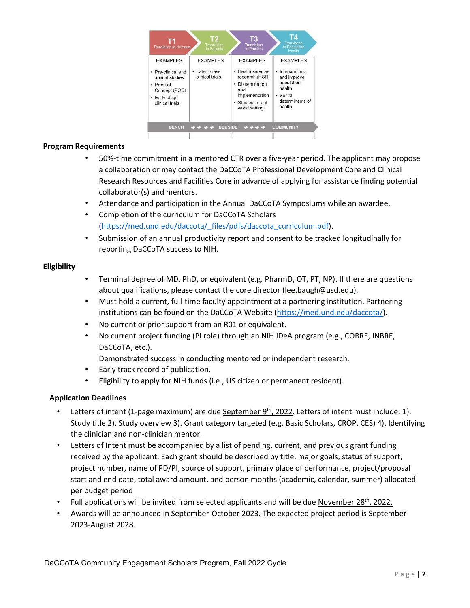

# **Program Requirements**

- 50%-time commitment in a mentored CTR over a five-year period. The applicant may propose a collaboration or may contact the DaCCoTA Professional Development Core and Clinical Research Resources and Facilities Core in advance of applying for assistance finding potential collaborator(s) and mentors.
- Attendance and participation in the Annual DaCCoTA Symposiums while an awardee.
- Completion of the curriculum for DaCCoTA Scholars [\(https://med.und.edu/daccota/\\_files/pdfs/daccota\\_curriculum.pdf\).](https://med.und.edu/daccota/_files/pdfs/daccota_curriculum.pdf)
- Submission of an annual productivity report and consent to be tracked longitudinally for reporting DaCCoTA success to NIH.

### **Eligibility**

- Terminal degree of MD, PhD, or equivalent (e.g. PharmD, OT, PT, NP). If there are questions about qualifications, please contact the core director (lee.baugh@usd.edu).
- Must hold a current, full-time faculty appointment at a partnering institution. Partnering institutions can be found on the DaCCoTA Website (https://med.und.edu/daccota/).
- No current or prior support from an R01 or equivalent.
- No current project funding (PI role) through an NIH IDeA program (e.g., COBRE, INBRE, DaCCoTA, etc.).
	- Demonstrated success in conducting mentored or independent research.
- Early track record of publication.
- Eligibility to apply for NIH funds (i.e., US citizen or permanent resident).

### **Application Deadlines**

- Letters of intent (1-page maximum) are due September  $9<sup>th</sup>$ , 2022. Letters of intent must include: 1). Study title 2). Study overview 3). Grant category targeted (e.g. Basic Scholars, CROP, CES) 4). Identifying the clinician and non-clinician mentor.
- Letters of Intent must be accompanied by a list of pending, current, and previous grant funding received by the applicant. Each grant should be described by title, major goals, status of support, project number, name of PD/PI, source of support, primary place of performance, project/proposal start and end date, total award amount, and person months (academic, calendar, summer) allocated per budget period
- Full applications will be invited from selected applicants and will be due November 28<sup>th</sup>, 2022.
- Awards will be announced in September-October 2023. The expected project period is September 2023-August 2028.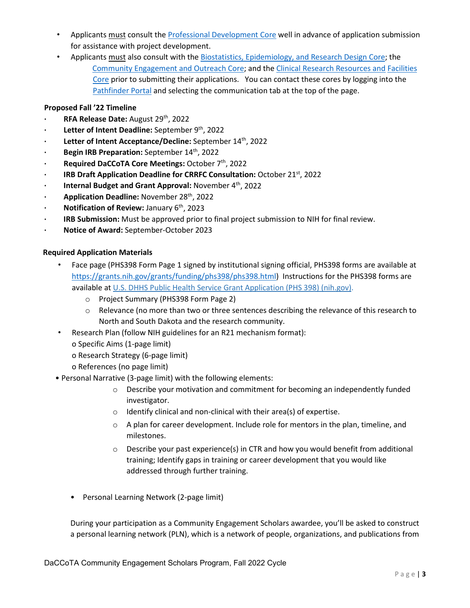- Applicants must consult the [Professional Development Core](https://med.und.edu/daccota/professional-development-core.html) [wel](https://med.und.edu/daccota/professional-development-core.html)l in advance of application submission for assistance with project development.
- Applicants must also consult with th[e Biostatistics, Epidemiology, and Research Design Core; th](https://med.und.edu/daccota/biostatistics-epidemiology-research-design-core.html)e [Community Engagement and Outreach Core; an](https://med.und.edu/daccota/community-engagement-outreach-core.html)d the [Clinical Research Resources and](https://med.und.edu/daccota/clinical-research-resources-facilities-core.html) [Facilities](https://med.und.edu/daccota/clinical-research-resources-facilities-core.html) [Core](https://med.und.edu/daccota/clinical-research-resources-facilities-core.html) [pri](https://med.und.edu/daccota/clinical-research-resources-facilities-core.html)or to submitting their applications. You can contact these cores by logging into the [Pathfinder Portal](https://pathfinder.med.und.edu/) [and](https://pathfinder.med.und.edu/) selecting the communication tab at the top of the page.

# **Proposed Fall '22 Timeline**

- **· RFA Release Date:** August 29th, 2022
- **· Letter of Intent Deadline:** September 9th, 2022
- **· Letter of Intent Acceptance/Decline:** September 14<sup>th</sup>, 2022
- **· Begin IRB Preparation:** September 14th, 2022
- **· Required DaCCoTA Core Meetings:** October 7th, 2022
- **· IRB Draft Application Deadline for CRRFC Consultation:** October 21st, 2022
- **· Internal Budget and Grant Approval:** November 4<sup>th</sup>, 2022
- **· Application Deadline:** November 28th, 2022
- **· Notification of Review:** January 6th, 2023
- **· IRB Submission:** Must be approved prior to final project submission to NIH for final review.
- **· Notice of Award:** September-October 2023

### **Required Application Materials**

- Face page (PHS398 Form Page 1 signed by institutional signing official, PHS398 forms are available at [https://grants.nih.gov/grants/funding/phs398/phs398.html\) I](https://grants.nih.gov/grants/funding/phs398/phs398.html)nstructions for the PHS398 forms are available at [U.S. DHHS Public Health Service Grant Application \(PHS 398\) \(nih.gov\).](https://grants.nih.gov/grants/funding/phs398/phs398.pdf)
	- o Project Summary (PHS398 Form Page 2)
	- o Relevance (no more than two or three sentences describing the relevance of this research to North and South Dakota and the research community.
- Research Plan (follow NIH guidelines for an R21 mechanism format):
	- o Specific Aims (1-page limit)
	- o Research Strategy (6-page limit)
	- o References (no page limit)
- Personal Narrative (3-page limit) with the following elements:
	- $\circ$  Describe your motivation and commitment for becoming an independently funded investigator.
	- o Identify clinical and non-clinical with their area(s) of expertise.
	- $\circ$  A plan for career development. Include role for mentors in the plan, timeline, and milestones.
	- $\circ$  Describe your past experience(s) in CTR and how you would benefit from additional training; Identify gaps in training or career development that you would like addressed through further training.
	- Personal Learning Network (2-page limit)

During your participation as a Community Engagement Scholars awardee, you'll be asked to construct a personal learning network (PLN), which is a network of people, organizations, and publications from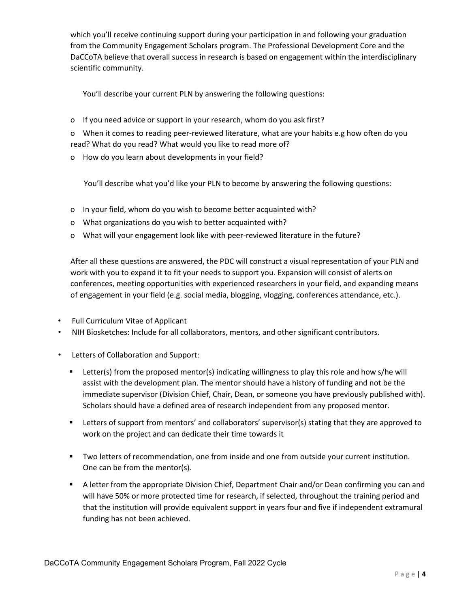which you'll receive continuing support during your participation in and following your graduation from the Community Engagement Scholars program. The Professional Development Core and the DaCCoTA believe that overall success in research is based on engagement within the interdisciplinary scientific community.

You'll describe your current PLN by answering the following questions:

o If you need advice or support in your research, whom do you ask first?

o When it comes to reading peer-reviewed literature, what are your habits e.g how often do you read? What do you read? What would you like to read more of?

o How do you learn about developments in your field?

You'll describe what you'd like your PLN to become by answering the following questions:

- o In your field, whom do you wish to become better acquainted with?
- o What organizations do you wish to better acquainted with?
- o What will your engagement look like with peer-reviewed literature in the future?

After all these questions are answered, the PDC will construct a visual representation of your PLN and work with you to expand it to fit your needs to support you. Expansion will consist of alerts on conferences, meeting opportunities with experienced researchers in your field, and expanding means of engagement in your field (e.g. social media, blogging, vlogging, conferences attendance, etc.).

- Full Curriculum Vitae of Applicant
- NIH Biosketches: Include for all collaborators, mentors, and other significant contributors.
- Letters of Collaboration and Support:
	- **EXECTERM** Letter(s) from the proposed mentor(s) indicating willingness to play this role and how s/he will assist with the development plan. The mentor should have a history of funding and not be the immediate supervisor (Division Chief, Chair, Dean, or someone you have previously published with). Scholars should have a defined area of research independent from any proposed mentor.
	- **EXECTER 1** Letters of support from mentors' and collaborators' supervisor(s) stating that they are approved to work on the project and can dedicate their time towards it
	- Two letters of recommendation, one from inside and one from outside your current institution. One can be from the mentor(s).
	- A letter from the appropriate Division Chief, Department Chair and/or Dean confirming you can and will have 50% or more protected time for research, if selected, throughout the training period and that the institution will provide equivalent support in years four and five if independent extramural funding has not been achieved.